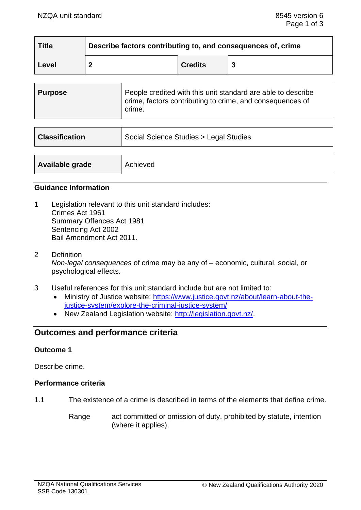| <b>Title</b> | Describe factors contributing to, and consequences of, crime |                |  |
|--------------|--------------------------------------------------------------|----------------|--|
| Level        |                                                              | <b>Credits</b> |  |

| <b>Purpose</b> | People credited with this unit standard are able to describe<br>crime, factors contributing to crime, and consequences of<br>crime. |
|----------------|-------------------------------------------------------------------------------------------------------------------------------------|
|                |                                                                                                                                     |

| <b>Classification</b> | Social Science Studies > Legal Studies |  |
|-----------------------|----------------------------------------|--|
|                       |                                        |  |
| Available grade       | Achieved                               |  |

#### **Guidance Information**

- 1 Legislation relevant to this unit standard includes: Crimes Act 1961 Summary Offences Act 1981 Sentencing Act 2002 Bail Amendment Act 2011.
- 2 Definition *Non-legal consequences* of crime may be any of – economic, cultural, social, or psychological effects.
- 3 Useful references for this unit standard include but are not limited to:
	- Ministry of Justice website: [https://www.justice.govt.nz/about/learn-about-the](https://www.justice.govt.nz/about/learn-about-the-justice-system/explore-the-criminal-justice-system/)[justice-system/explore-the-criminal-justice-system/](https://www.justice.govt.nz/about/learn-about-the-justice-system/explore-the-criminal-justice-system/)
	- New Zealand Legislation website: [http://legislation.govt.nz/.](http://legislation.govt.nz/)

# **Outcomes and performance criteria**

### **Outcome 1**

Describe crime.

### **Performance criteria**

- 1.1 The existence of a crime is described in terms of the elements that define crime.
	- Range act committed or omission of duty, prohibited by statute, intention (where it applies).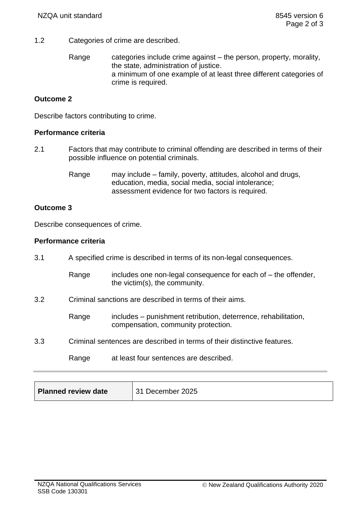- 1.2 Categories of crime are described.
	- Range categories include crime against the person, property, morality, the state, administration of justice. a minimum of one example of at least three different categories of crime is required.

## **Outcome 2**

Describe factors contributing to crime.

### **Performance criteria**

2.1 Factors that may contribute to criminal offending are described in terms of their possible influence on potential criminals.

> Range may include – family, poverty, attitudes, alcohol and drugs, education, media, social media, social intolerance; assessment evidence for two factors is required.

### **Outcome 3**

Describe consequences of crime.

### **Performance criteria**

| 3.1 | A specified crime is described in terms of its non-legal consequences.   |                                                                                                       |
|-----|--------------------------------------------------------------------------|-------------------------------------------------------------------------------------------------------|
|     | Range                                                                    | includes one non-legal consequence for each of – the offender,<br>the victim(s), the community.       |
| 3.2 | Criminal sanctions are described in terms of their aims.                 |                                                                                                       |
|     | Range                                                                    | includes – punishment retribution, deterrence, rehabilitation,<br>compensation, community protection. |
| 3.3 | Criminal sentences are described in terms of their distinctive features. |                                                                                                       |
|     | Range                                                                    | at least four sentences are described.                                                                |

| Planned review date | 31 December 2025 |
|---------------------|------------------|
|---------------------|------------------|